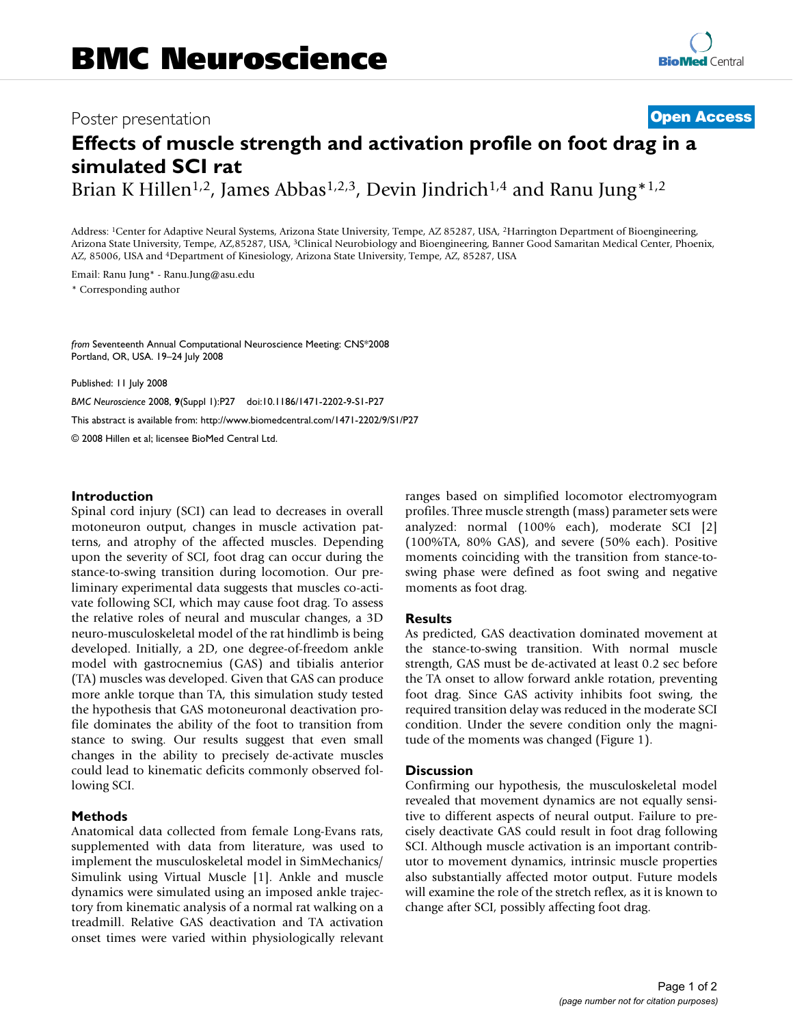# Poster presentation **Contract Contract Contract Contract Contract Contract Contract Contract Contract Contract Contract Contract Contract Contract Contract Contract Contract Contract Contract Contract Contract Contract Con**

# **Effects of muscle strength and activation profile on foot drag in a simulated SCI rat**

Brian K Hillen<sup>1,2</sup>, James Abbas<sup>1,2,3</sup>, Devin Jindrich<sup>1,4</sup> and Ranu Jung<sup>\*1,2</sup>

Address: 1Center for Adaptive Neural Systems, Arizona State University, Tempe, AZ 85287, USA, 2Harrington Department of Bioengineering, Arizona State University, Tempe, AZ,85287, USA, 3Clinical Neurobiology and Bioengineering, Banner Good Samaritan Medical Center, Phoenix, AZ, 85006, USA and 4Department of Kinesiology, Arizona State University, Tempe, AZ, 85287, USA

Email: Ranu Jung\* - Ranu.Jung@asu.edu \* Corresponding author

*from* Seventeenth Annual Computational Neuroscience Meeting: CNS\*2008 Portland, OR, USA. 19–24 July 2008

Published: 11 July 2008

*BMC Neuroscience* 2008, **9**(Suppl 1):P27 doi:10.1186/1471-2202-9-S1-P27 [This abstract is available from: http://www.biomedcentral.com/1471-2202/9/S1/P27](http://www.biomedcentral.com/1471-2202/9/S1/P27) © 2008 Hillen et al; licensee BioMed Central Ltd.

#### **Introduction**

Spinal cord injury (SCI) can lead to decreases in overall motoneuron output, changes in muscle activation patterns, and atrophy of the affected muscles. Depending upon the severity of SCI, foot drag can occur during the stance-to-swing transition during locomotion. Our preliminary experimental data suggests that muscles co-activate following SCI, which may cause foot drag. To assess the relative roles of neural and muscular changes, a 3D neuro-musculoskeletal model of the rat hindlimb is being developed. Initially, a 2D, one degree-of-freedom ankle model with gastrocnemius (GAS) and tibialis anterior (TA) muscles was developed. Given that GAS can produce more ankle torque than TA, this simulation study tested the hypothesis that GAS motoneuronal deactivation profile dominates the ability of the foot to transition from stance to swing. Our results suggest that even small changes in the ability to precisely de-activate muscles could lead to kinematic deficits commonly observed following SCI.

#### **Methods**

Anatomical data collected from female Long-Evans rats, supplemented with data from literature, was used to implement the musculoskeletal model in SimMechanics/ Simulink using Virtual Muscle [1]. Ankle and muscle dynamics were simulated using an imposed ankle trajectory from kinematic analysis of a normal rat walking on a treadmill. Relative GAS deactivation and TA activation onset times were varied within physiologically relevant ranges based on simplified locomotor electromyogram profiles. Three muscle strength (mass) parameter sets were analyzed: normal (100% each), moderate SCI [2] (100%TA, 80% GAS), and severe (50% each). Positive moments coinciding with the transition from stance-toswing phase were defined as foot swing and negative moments as foot drag.

#### **Results**

As predicted, GAS deactivation dominated movement at the stance-to-swing transition. With normal muscle strength, GAS must be de-activated at least 0.2 sec before the TA onset to allow forward ankle rotation, preventing foot drag. Since GAS activity inhibits foot swing, the required transition delay was reduced in the moderate SCI condition. Under the severe condition only the magnitude of the moments was changed (Figure 1).

### **Discussion**

Confirming our hypothesis, the musculoskeletal model revealed that movement dynamics are not equally sensitive to different aspects of neural output. Failure to precisely deactivate GAS could result in foot drag following SCI. Although muscle activation is an important contributor to movement dynamics, intrinsic muscle properties also substantially affected motor output. Future models will examine the role of the stretch reflex, as it is known to change after SCI, possibly affecting foot drag.